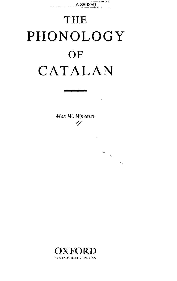

## THE PHONOLOGY **OF** CATALAN

*Max W. Wheeler*

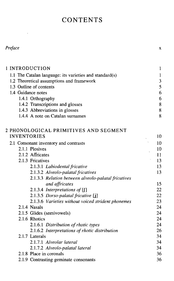## **CONTENTS**

| етас |
|------|
|------|

 $\mathcal{L}^{\mathcal{L}}$ 

| 1 INTRODUCTION                                          | $\mathbf{1}$ |
|---------------------------------------------------------|--------------|
| 1.1 The Catalan language: its varieties and standard(s) | $\mathbf{1}$ |
| 1.2 Theoretical assumptions and framework               | 3            |
| 1.3 Outline of contents                                 | 5            |
| 1.4 Guidance notes                                      | 6            |
| 1.4.1 Orthography                                       | 6            |
| 1.4.2 Transcriptions and glosses                        | 8            |
| 1.4.3 Abbreviations in glosses                          | 8            |
| 1.4.4 A note on Catalan surnames                        | 8            |
| 2 PHONOLOGICAL PRIMITIVES AND SEGMENT                   |              |
| <b>INVENTORIES</b>                                      | 10           |
| 2.1 Consonant inventory and contrasts                   | 10           |
| 2.1.1 Plosives                                          | 10           |
| 2.1.2 Affricates                                        | 11           |
| 2.1.3 Fricatives                                        | 13           |
| 2.1.3.1 Labiodental fricative                           | 13           |
| 2.1.3.2 Alveolo-palatal fricatives                      | 13           |
| 2.1.3.3 Relation between alveolo-palatal fricatives     |              |
| and affricates                                          | 15           |
| 2.1.3.4 Interpretations of $[]$                         | 22           |
| 2.1.3.5 Dorso-palatal fricative [j]                     | 22           |
| 2.1.3.6 Varieties without voiced strident phonemes      | 23           |
| 2.1.4 Nasals                                            | 24           |
| 2.1.5 Glides (semivowels)                               | 24           |
| 2.1.6 Rhotics                                           | 24           |
| 2.1.6.1 Distribution of rhotic types                    | 24           |
| 2.1.6.2 Interpretations of rhotic distribution          | 26           |
| 2.1.7 Laterals                                          | 34           |
| 2.1.7.1 Alveolar lateral                                | 34           |
| 2.1.7.2 Alveolo-palatal lateral                         | 34           |
| 2.1.8 Place in coronals                                 | 36           |
| 2.1.9 Contrasting geminate consonants                   | 36           |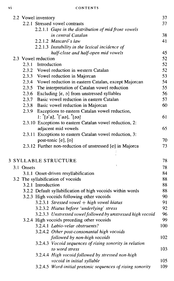|  | 2.2 Vowel inventory                                                              | 37       |
|--|----------------------------------------------------------------------------------|----------|
|  | 2.2.1 Stressed vowel contrasts                                                   | 37       |
|  | 2.2.1.1 Gaps in the distribution of mid front vowels                             |          |
|  | in central Catalan                                                               | 38       |
|  | 2.2.1.2 Mascaró's law                                                            | 41       |
|  | 2.2.1.3 Instability in the lexical incidence of                                  |          |
|  | half-close and half-open mid vowels                                              | 45       |
|  | 2.3 Vowel reduction                                                              | 52       |
|  | 2.3.1 Introduction                                                               | 52       |
|  | 2.3.2<br>Vowel reduction in western Catalan                                      | 52       |
|  | 2.3.3 Vowel reduction in Majorcan                                                | 53       |
|  | 2.3.4 Vowel reduction in eastern Catalan, except Majorcan                        | 54       |
|  | 2.3.5 The interpretation of Catalan vowel reduction                              | 55       |
|  | 2.3.6 Excluding $[\epsilon, \sigma]$ from unstressed syllables                   | 56       |
|  | 2.3.7 Basic vowel reduction in eastern Catalan                                   | 57       |
|  | 2.3.8 Basic vowel reduction in Majorcan                                          | 60       |
|  | 2.3.9 Exceptions to eastern Catalan vowel reduction,                             |          |
|  | $1:$ "[ə'a], "['aə], "[əə]                                                       | 61       |
|  | 2.3.10 Exceptions to eastern Catalan vowel reduction, 2:                         |          |
|  | adjacent mid vowels                                                              | 65       |
|  | 2.3.11 Exceptions to eastern Catalan vowel reduction, 3:                         |          |
|  | post-tonic [e], [o]<br>2.3.12 Further non-reduction of unstressed [e] in Majorca | 70<br>73 |
|  |                                                                                  |          |
|  |                                                                                  |          |
|  | <b>3 SYLLABLE STRUCTURE</b>                                                      | 78       |
|  | 3.1 Onsets                                                                       | 78       |
|  | 3.1.1 Onset-driven resyllabification                                             | 84       |
|  | 3.2 The syllabification of vocoids                                               | 88       |
|  | 3.2.1 Introduction                                                               | 88       |
|  | 3.2.2 Default syllabification of high vocoids within words                       | 88       |
|  | 3.2.3 High vocoids following other vocoids                                       | 90       |
|  | $3.2.3.1$ Stressed vowel + high vowel hiatus                                     | 91       |
|  | 3.2.3.2 Hiatus before 'underlying' stress                                        | 92       |
|  | 3.2.3.3 Unstressed vowel followed by unstressed high vocoid                      | 96       |
|  | 3.2.4 High vocoids preceding other vocoids                                       | 99       |
|  | 3.2.4.1 Labio-velar obstruents?                                                  | 100      |
|  | 3.2.4.2 Other post-consonantal high vocoids                                      |          |
|  | followed by non-high vocoids                                                     | 102      |
|  | 3.2.4.3 Vocoid sequences of rising sonority in relation                          |          |
|  | to word stress                                                                   | 103      |
|  | 3.2.4.4 High vocoid followed by stressed non-high                                |          |
|  | vocoid in initial syllable                                                       | 105      |
|  | 3.2.4.5 Word-initial pretonic sequences of rising sonority                       | 109      |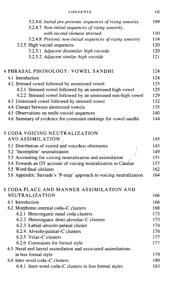| CONTENTS                                                                                                       | vii |
|----------------------------------------------------------------------------------------------------------------|-----|
| 3.2.4.6 Initial pre-pretonic sequences of rising sonority<br>3.2.4.7 Non-initial sequences of rising sonority, | 109 |
| with second element stressed                                                                                   | 110 |
| 3.2.4.8 Pretonic non-initial sequences of rising sonority                                                      | 114 |
| 3.2.5 High vocoid sequences                                                                                    | 120 |
| 3.2.5.1 Adjacent dissimilar high vocoids                                                                       | 120 |
| 3.2.5.2 Adjacent similar high vocoids                                                                          | 121 |
| 4 PHRASAL PHONOLOGY: VOWEL SANDHI                                                                              | 124 |
| 4.1 Introduction                                                                                               | 124 |
| 4.2 Stressed vowel followed by unstressed vowel                                                                | 125 |
| 4.2.1 Stressed vowel followed by an unstressed high vowel                                                      | 125 |
| 4.2.2 Stressed vowel followed by an unstressed non-high vowel                                                  | 129 |
| 4.3 Unstressed vowel followed by stressed vowel                                                                | 132 |
| 4.4 Contact between unstressed vowels                                                                          | 135 |
| 4.5 Observations on multi-vocoid sequences                                                                     | 140 |
| 4.6 Summary of evidence for constraint rankings for vowel sandhi                                               | 144 |
| 5 CODA VOICING NEUTRALIZATION                                                                                  |     |
| AND ASSIMILATION                                                                                               | 145 |
| 5.1 Distribution of voiced and voiceless obstruents                                                            | 145 |
| 5.2 'Incomplete' neutralization                                                                                | 149 |
| 5.3 Accounting for voicing neutralization and assimilation                                                     | 151 |
| 5.4 Towards an OT account of voicing neutralization in Catalan                                                 | 157 |
| 5.5 Word-final sibilants                                                                                       | 162 |
| 5.6 Appendix: Steriade's 'P-map' approach to voicing neutralization                                            | 164 |
| 6 CODA PLACE AND MANNER ASSIMILATION AND                                                                       |     |
| NEUTRALIZATION                                                                                                 | 166 |
| 6.1 Introduction                                                                                               | 166 |
| 6.2 Morpheme-internal coda-C clusters                                                                          | 168 |
| 6.2.1 Heterorganic nasal coda clusters                                                                         | 173 |
| 6.2.2 Heterorganic denti-alveolar-C clusters                                                                   | 173 |
| 6.2.3 Labial-alveolo-palatal cluster                                                                           | 174 |
| 6.2.4 Alveolo-palatal–C clusters                                                                               | 176 |
| 6.2.5 Velar-C clusters                                                                                         | 177 |
| 6.2.6 Constraints for formal style                                                                             | 177 |
| 6.3 Nasal and lateral assimilation and associated assimilations                                                |     |
| in less formal style                                                                                           | 179 |
| 6.4 Inter-word coda-C clusters                                                                                 | 180 |
| 6.4.1 Inter-word coda-C clusters in less formal styles                                                         | 183 |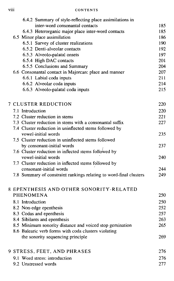| $\cdots$<br>VIII | CONTENTS |
|------------------|----------|
|                  |          |

|  | 6.4.2 Summary of style-reflecting place assimilations in           |     |
|--|--------------------------------------------------------------------|-----|
|  | inter-word consonantal contacts                                    | 185 |
|  | 6.4.3 Heterorganic major place inter-word contacts                 | 185 |
|  | 6.5 Minor place assimilation                                       | 186 |
|  | 6.5.1 Survey of cluster realizations                               | 190 |
|  | 6.5.2 Denti-alveolar contacts                                      | 192 |
|  | 6.5.3 Alveolo-palatal onsets                                       | 197 |
|  | 6.5.4 High DAC contacts                                            | 201 |
|  | 6.5.5 Conclusions and Summary                                      | 204 |
|  | 6.6 Consonantal contact in Majorcan: place and manner              | 207 |
|  | 6.6.1 Labial coda inputs                                           | 211 |
|  | 6.6.2 Alveolar coda inputs                                         | 214 |
|  | 6.6.3 Alveolo-palatal coda inputs                                  | 215 |
|  | <b>7 CLUSTER REDUCTION</b>                                         | 220 |
|  | 7.1 Introduction                                                   | 220 |
|  | 7.2 Cluster reduction in stems                                     | 221 |
|  | 7.3 Cluster reduction in stems with a consonantal suffix           | 227 |
|  | 7.4 Cluster reduction in uninflected stems followed by             |     |
|  | vowel-initial words                                                | 235 |
|  | 7.5 Cluster reduction in uninflected stems followed                |     |
|  | by consonant-initial words                                         | 237 |
|  | 7.6 Cluster reduction in inflected stems followed by               |     |
|  | vowel-initial words                                                | 240 |
|  | 7.7 Cluster reduction in inflected stems followed by               |     |
|  | consonant-initial words                                            | 244 |
|  | 7.8 Summary of constraint rankings relating to word-final clusters | 249 |
|  | 8 EPENTHESIS AND OTHER SONORITY-RELATED                            |     |
|  | PHENOMENA                                                          | 250 |
|  | 8.1 Introduction                                                   | 250 |
|  | 8.2 Non-edge epenthesis                                            | 252 |
|  | 8.3 Codas and epenthesis                                           | 257 |
|  | 8.4 Sibilants and epenthesis                                       | 263 |
|  | 8.5 Minimum sonority distance and voiced stop gemination           | 265 |
|  | 8.6 Balearic verb forms with coda clusters violating               |     |
|  | the sonority sequencing principle                                  | 269 |
|  | <b>9 STRESS, FEET, AND PHRASES</b>                                 | 276 |
|  | 9.1 Word stress: introduction                                      | 276 |
|  | 9.2 Unstressed words                                               | 277 |
|  |                                                                    |     |